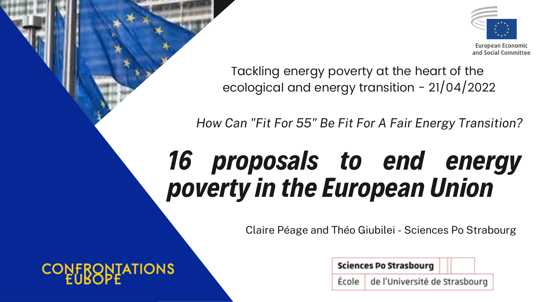### 16 proposals to end energy poverty in the European Union

### Tackling energy poverty at the heart of the ecological and energy transition - 21/04/2022

**Sciences Po Strasbourg** 

de l'Université de Strasbourg École |

Claire Péage and Théo Giubilei - Sciences Po Strabourg

**CONFRONTATIONS** 



European Economic and Social Committee

*How Can "Fit For 55" Be Fit For A Fair Energy Transition?*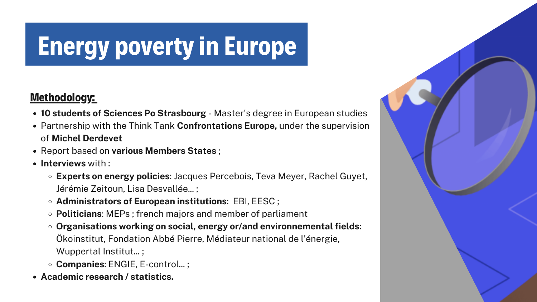### Methodology:

- **10 students of Sciences Po Strasbourg** Master's degree in European studies
- Partnership with the Think Tank **Confrontations Europe,** under the supervision of **Michel Derdevet**
- Report based on **various Members States** ;
- **Interviews** with :
	- **Experts on energy policies**: Jacques Percebois, Teva Meyer, Rachel Guyet, Jérémie Zeitoun, Lisa Desvallée... ;
	- **Administrators of European institutions**: EBI, EESC ;
	- **Politicians**: MEPs ; french majors and member of parliament
	- **Organisations working on social, energy or/and environnemental fields**: Ökoinstitut, Fondation Abbé Pierre, Médiateur national de l'énergie, Wuppertal Institut...;
	- **Companies**: ENGIE, E-control... ;
- **Academic research / statistics.**



## Energy poverty in Europe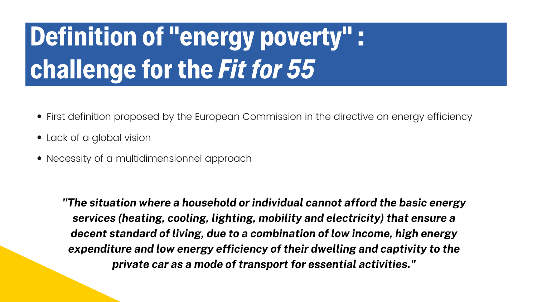## Definition of "energy poverty": challenge for the Fit for 55

- First definition proposed by the European Commission in the directive on energy efficiency
- Lack of a global vision
- Necessity of a multidimensionnel approach

*"The situation where a household or individual cannot afford the basic energy services (heating, cooling, lighting, mobility and electricity) that ensure a decent standard of living, due to a combination of low income, high energy expenditure and low energy efficiency of their dwelling and captivity to the private car as a mode of transport for essential activities. "*

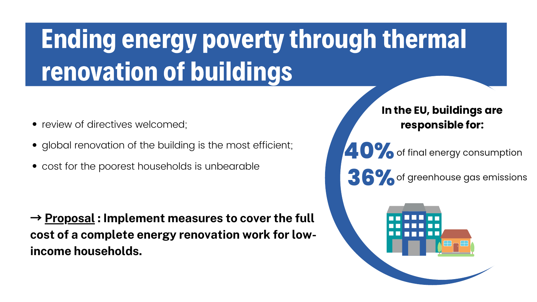## Ending energy poverty through thermal renovation of buildings

#### of final energy consumption of greenhouse gas emissions **40% 36%**



 $\rightarrow$  **Proposal : Implement measures to cover the full cost of a complete energy renovation work for lowincome households.**

#### **In the EU, buildings are responsible for:**

- review of directives welcomed;
- global renovation of the building is the most efficient;
- cost for the poorest households is unbearable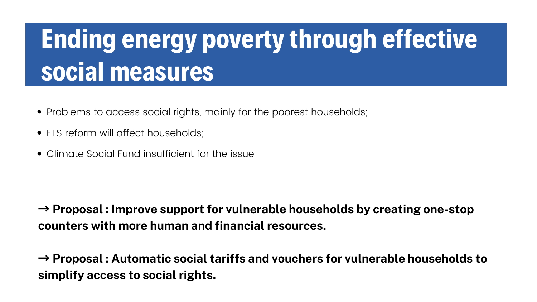## Ending energy poverty through effective social measures

 $\rightarrow$  **Proposal : Improve support for vulnerable households by creating one-stop counters with more human and financial resources.**

 $\rightarrow$  **Proposal : Automatic social tariffs and vouchers for vulnerable households to simplify access to social rights.**

- Problems to access social rights, mainly for the poorest households;
- ETS reform will affect households;
- Climate Social Fund insufficient for the issue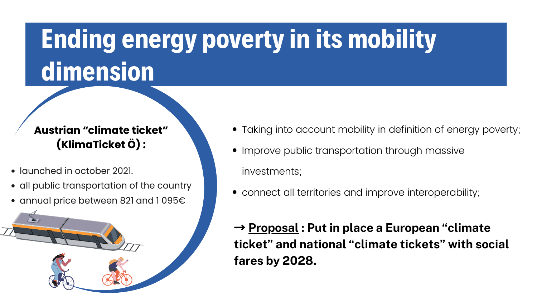## Ending energy poverty in its mobility dimension

- launched in october 2021.
- all public transportation of the country
- annual price between 821 and 1095€



 $\rightarrow$ **fares by 2028.**

#### **Austrian "climate ticket" (KlimaTicket Ö) :**

 **Proposal : Put in place a European "climate ticket" and national "climate tickets" with social**

- Taking into account mobility in definition of energy poverty; • Improve public transportation through massive
- investments;
- connect all territories and improve interoperability;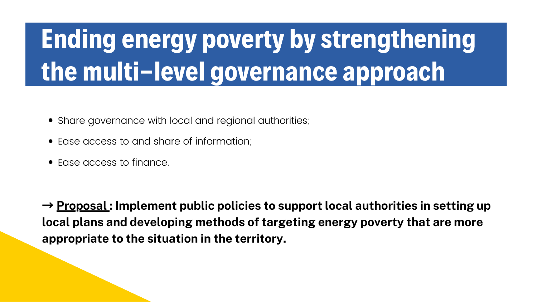## Ending energy poverty by strengthening the multi-level governance approach

 $\rightarrow$  **Proposal : Implement public policies to support local authorities in setting up local plans and developing methods of targeting energy poverty that are more appropriate to the situation in the territory.**

- Share governance with local and regional authorities;
- Ease access to and share of information;
- Ease access to finance.